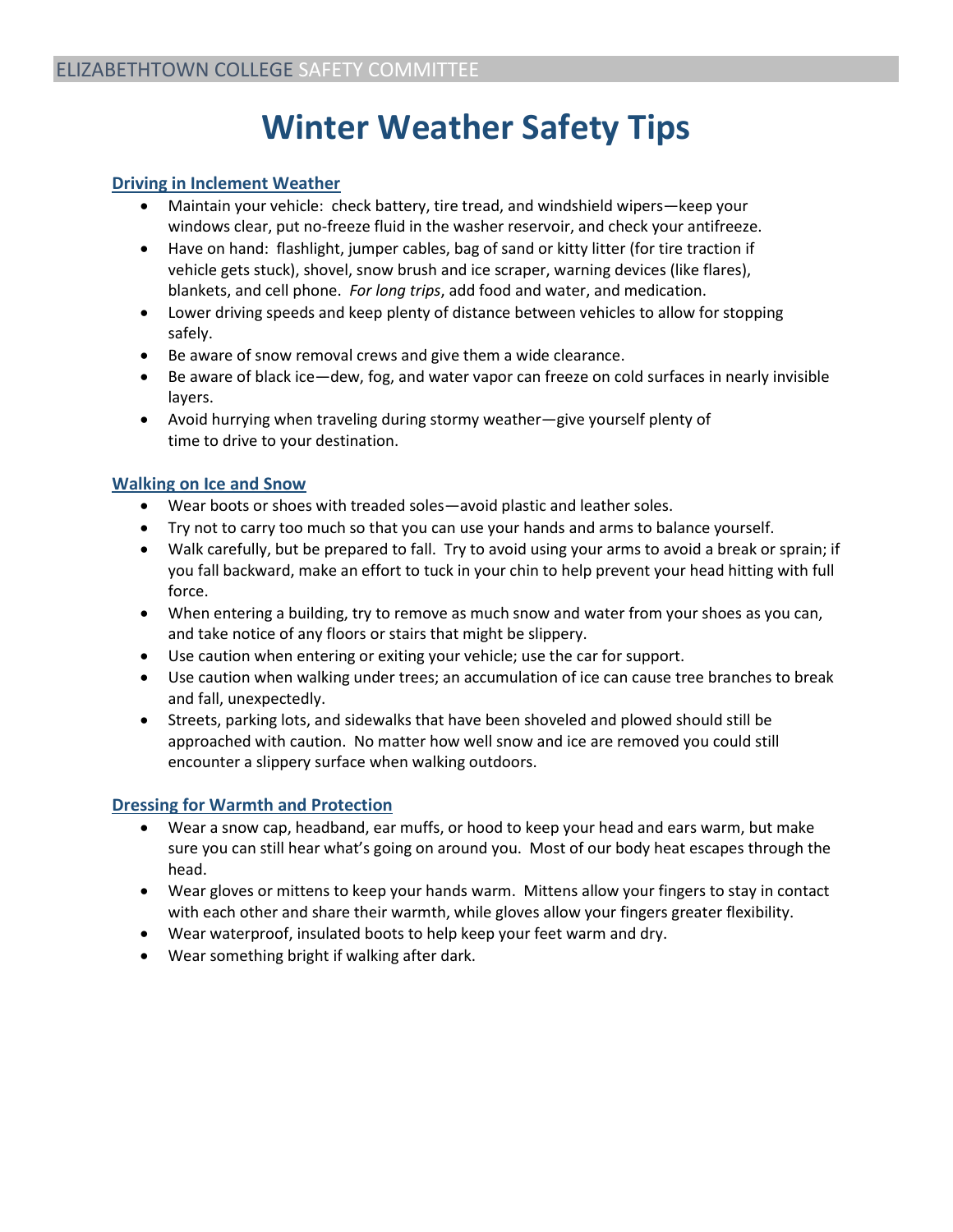# **Winter Weather Safety Tips**

## **Driving in Inclement Weather**

- Maintain your vehicle: check battery, tire tread, and windshield wipers—keep your windows clear, put no-freeze fluid in the washer reservoir, and check your antifreeze.
- Have on hand: flashlight, jumper cables, bag of sand or kitty litter (for tire traction if vehicle gets stuck), shovel, snow brush and ice scraper, warning devices (like flares), blankets, and cell phone. *For long trips*, add food and water, and medication.
- Lower driving speeds and keep plenty of distance between vehicles to allow for stopping safely.
- Be aware of snow removal crews and give them a wide clearance.
- Be aware of black ice—dew, fog, and water vapor can freeze on cold surfaces in nearly invisible layers.
- Avoid hurrying when traveling during stormy weather—give yourself plenty of time to drive to your destination.

## **Walking on Ice and Snow**

- Wear boots or shoes with treaded soles—avoid plastic and leather soles.
- Try not to carry too much so that you can use your hands and arms to balance yourself.
- Walk carefully, but be prepared to fall. Try to avoid using your arms to avoid a break or sprain; if you fall backward, make an effort to tuck in your chin to help prevent your head hitting with full force.
- When entering a building, try to remove as much snow and water from your shoes as you can, and take notice of any floors or stairs that might be slippery.
- Use caution when entering or exiting your vehicle; use the car for support.
- Use caution when walking under trees; an accumulation of ice can cause tree branches to break and fall, unexpectedly.
- Streets, parking lots, and sidewalks that have been shoveled and plowed should still be approached with caution. No matter how well snow and ice are removed you could still encounter a slippery surface when walking outdoors.

## **Dressing for Warmth and Protection**

- Wear a snow cap, headband, ear muffs, or hood to keep your head and ears warm, but make sure you can still hear what's going on around you. Most of our body heat escapes through the head.
- Wear gloves or mittens to keep your hands warm. Mittens allow your fingers to stay in contact with each other and share their warmth, while gloves allow your fingers greater flexibility.
- Wear waterproof, insulated boots to help keep your feet warm and dry.
- Wear something bright if walking after dark.